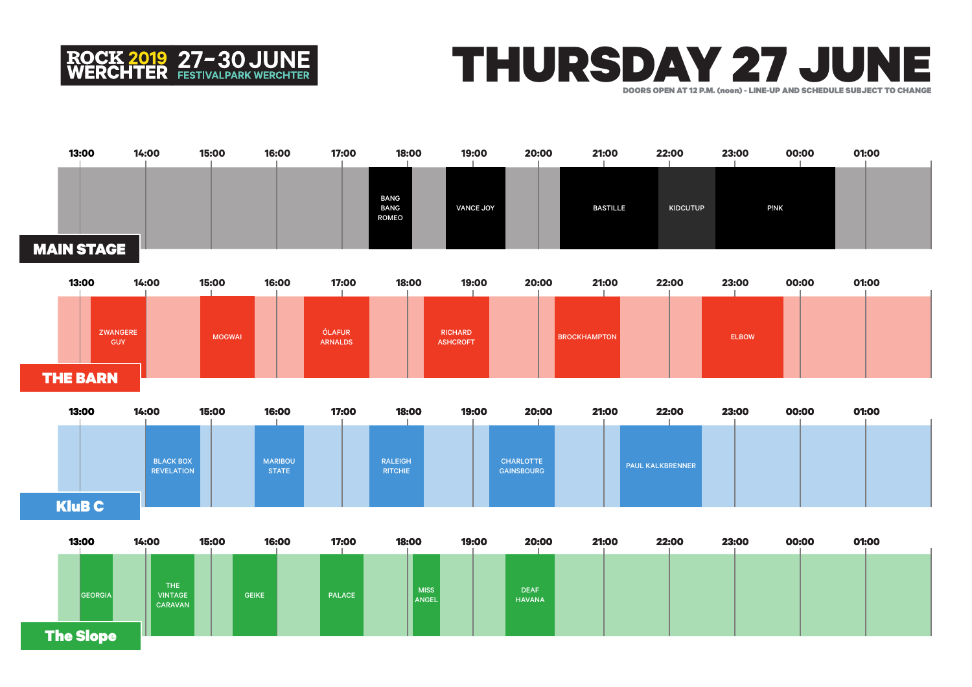

## THURSDAY 27 JUNE DOORS OPEN AT 12 P.M. (noon) - LINE-UP AND SCHEDULE SUBJECT TO CHANGE





| 13:00            | 14:00                                          | 15:00 | 16:00        | 17:00         | 18:00                | 19:00 | 20:00                        | 21:00 | 22:00 | 23:00 | 00:00 | 01:00 |  |
|------------------|------------------------------------------------|-------|--------------|---------------|----------------------|-------|------------------------------|-------|-------|-------|-------|-------|--|
| <b>GEORGIA</b>   | <b>THE</b><br><b>VINTAGE</b><br><b>CARAVAN</b> |       | <b>GEIKE</b> | <b>PALACE</b> | <b>MISS</b><br>ANGEL |       | <b>DEAF</b><br><b>HAVANA</b> |       |       |       |       |       |  |
| <b>The Slope</b> |                                                |       |              |               |                      |       |                              |       |       |       |       |       |  |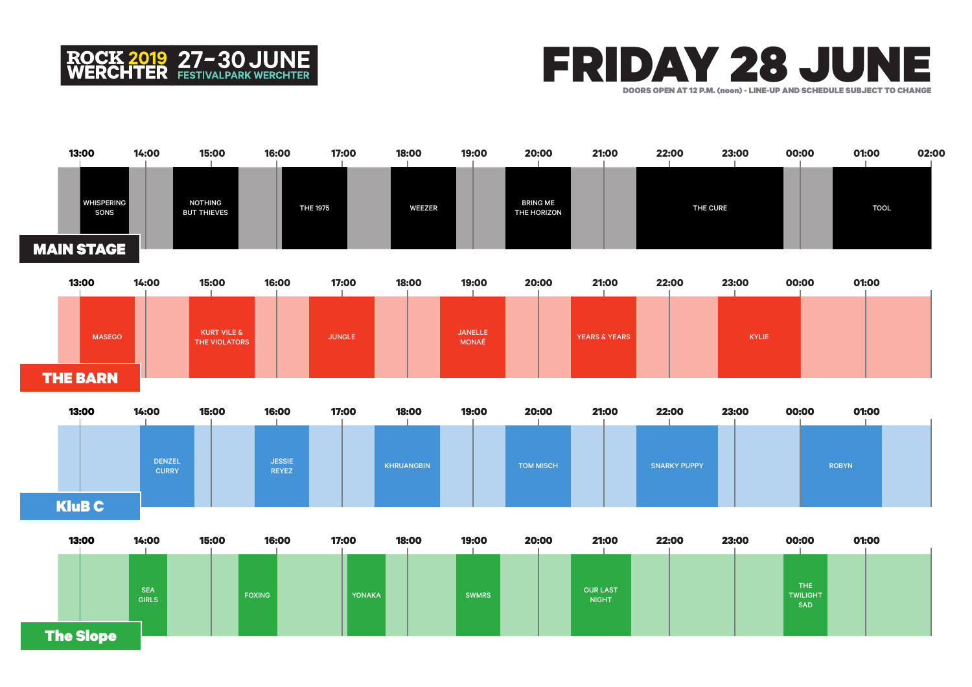

The Slope



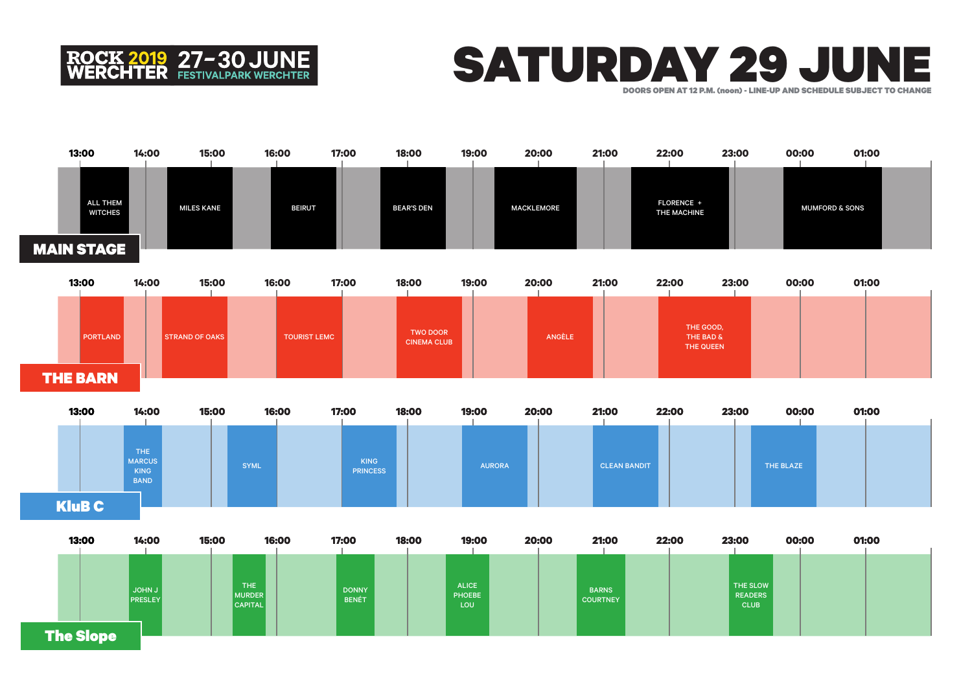

## SATURDAY 29 JUNE DOORS OPEN AT 12 P.M. (noon) - LINE-UP AND SCHEDULE SUBJECT TO CHANGE





| 13:00     | 14:00   | 15:00 | 16:00                           | 17:00        | 18:00 | 19:00                | 20:00 | 21:00           | 22:00 | 23:00                         | 00:00 | 01:00 |  |
|-----------|---------|-------|---------------------------------|--------------|-------|----------------------|-------|-----------------|-------|-------------------------------|-------|-------|--|
|           |         |       |                                 |              |       |                      |       |                 |       |                               |       |       |  |
|           | JOHN J  |       | THE                             | <b>DONNY</b> |       | <b>ALICE</b>         |       | <b>BARNS</b>    |       | THE SLOW                      |       |       |  |
|           | PRESLEY |       | <b>MURDER</b><br><b>CAPITAL</b> | <b>BENÉT</b> |       | <b>PHOEBE</b><br>LOU |       | <b>COURTNEY</b> |       | <b>READERS</b><br><b>CLUB</b> |       |       |  |
|           |         |       |                                 |              |       |                      |       |                 |       |                               |       |       |  |
| The Slope |         |       |                                 |              |       |                      |       |                 |       |                               |       |       |  |